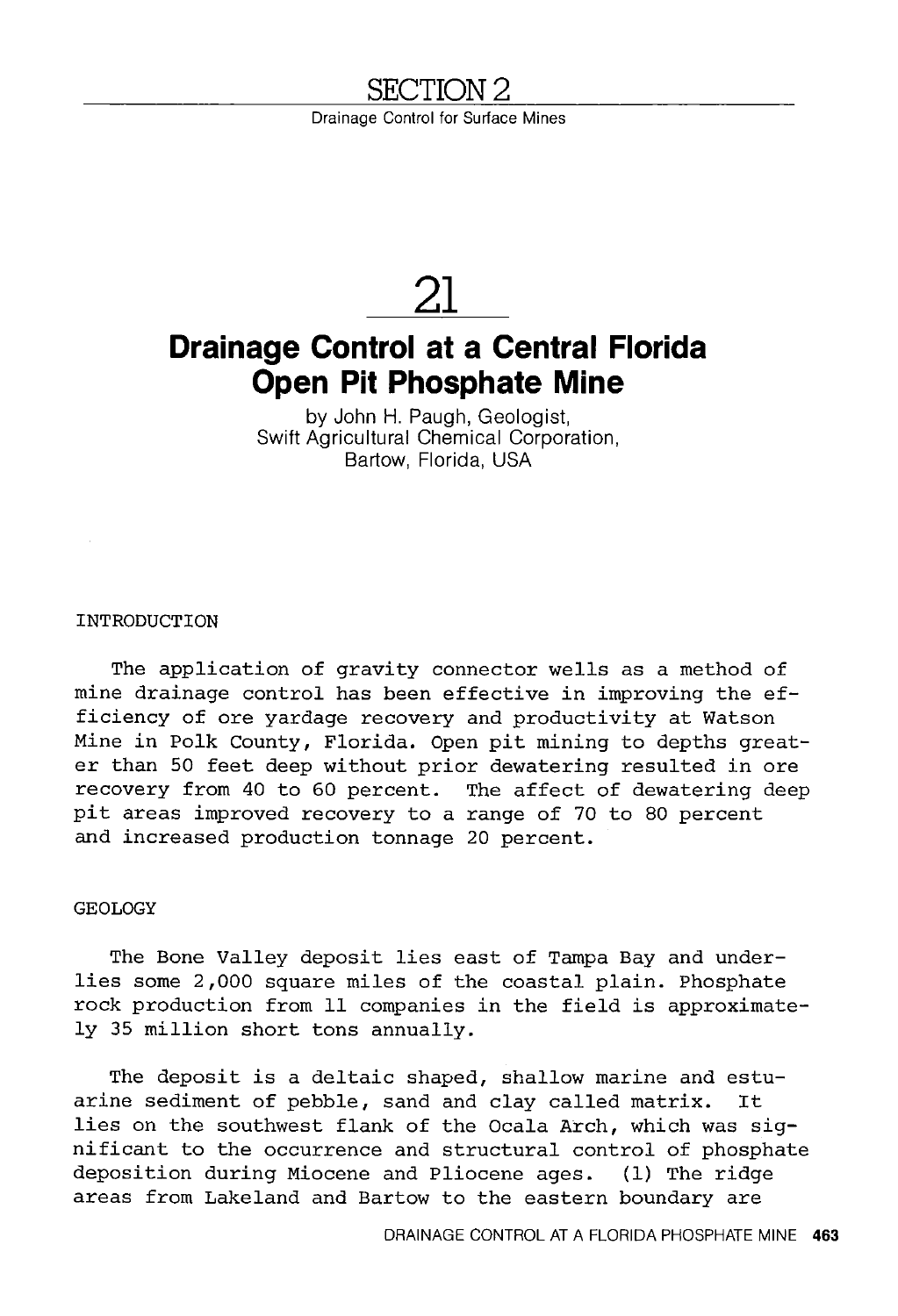# **SECTION2**

Drainage Control for Surface Mines



# **Drainage Control at a Central Florida Open Pit Phosphate Mine**

by John H. Paugh, Geologist, Swift Agricultural Chemical Corporation, Bartow, Florida, USA

INTRODUCTION

The application of gravity connector wells as a method of mine drainage control has been effective in improving the efficiency of ore yardage recovery and productivity at Watson Mine in Polk County, Florida. Open pit mining to depths greater than 50 feet deep without prior dewatering resulted in ore recovery from 40 to 60 percent. The affect of dewatering deep pit areas improved recovery to a range of 70 to 80 percent and increased production tonnage 20 percent.

## GEOLOGY

The Bone Valley deposit lies east of Tampa Bay and underlies some 2,000 square miles of the coastal plain. Phosphate rock production from 11 companies in the field is approximately 35 million short tons annually.

The deposit is a deltaic shaped, shallow marine and estuarine sediment of pebble, sand and clay called matrix. It lies on the southwest flank of the Ocala Arch, which was significant to the occurrence and structural control of phosphate deposition during Miocene and Pliocene ages. (1) The ridge areas from Lakeland and Bartow to the eastern boundary are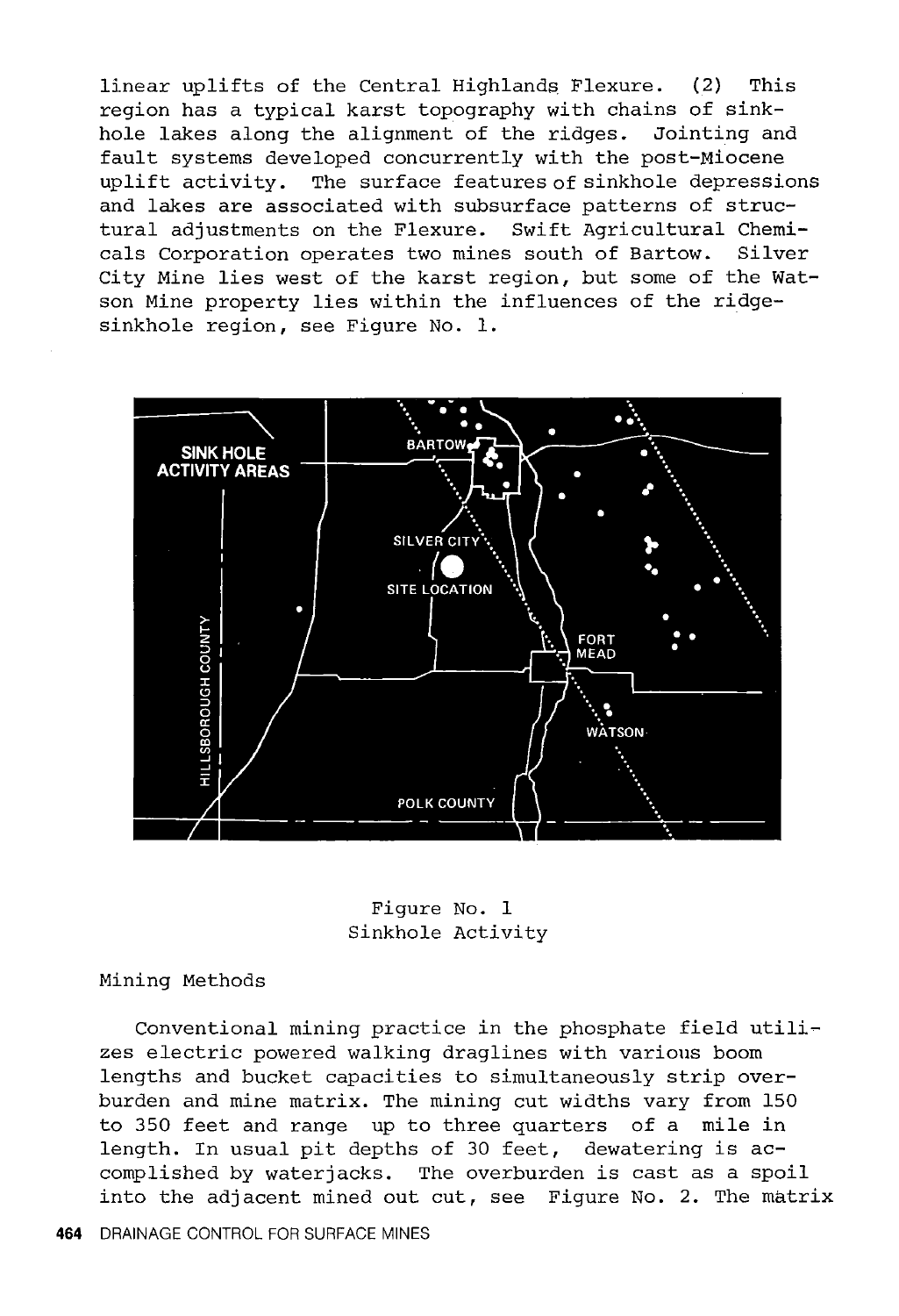linear uplifts of the Central Highlands Flexure. (2) This region has a typical karst topography with chains of sinkhole lakes along the alignment of the ridges. Jointing and fault systems developed concurrently with the post-Miocene uplift activity. The surface features of sinkhole depressions and lakes are associated with subsurface patterns of structural adjustments on the Flexure. Swift Agricultural Chemicals Corporation operates two mines south of Bartow. Silver City Mine lies west of the karst region, but some of the Watson Mine property lies within the influences of the ridgesinkhole region, see Figure No. 1.



Figure No. 1 Sinkhole Activity

Mining Methods

Conventional mining practice in the phosphate field utilizes electric powered walking draglines with various boom lengths and bucket capacities to simultaneously strip overburden and mine matrix. The mining cut widths vary from 150 to 350 feet and range up to three quarters of a mile in length. In usual pit depths of 30 feet, dewatering is accomplished by waterjacks. The overburden is cast as a spoil into the adjacent mined out cut, see Figure No. 2. The matrix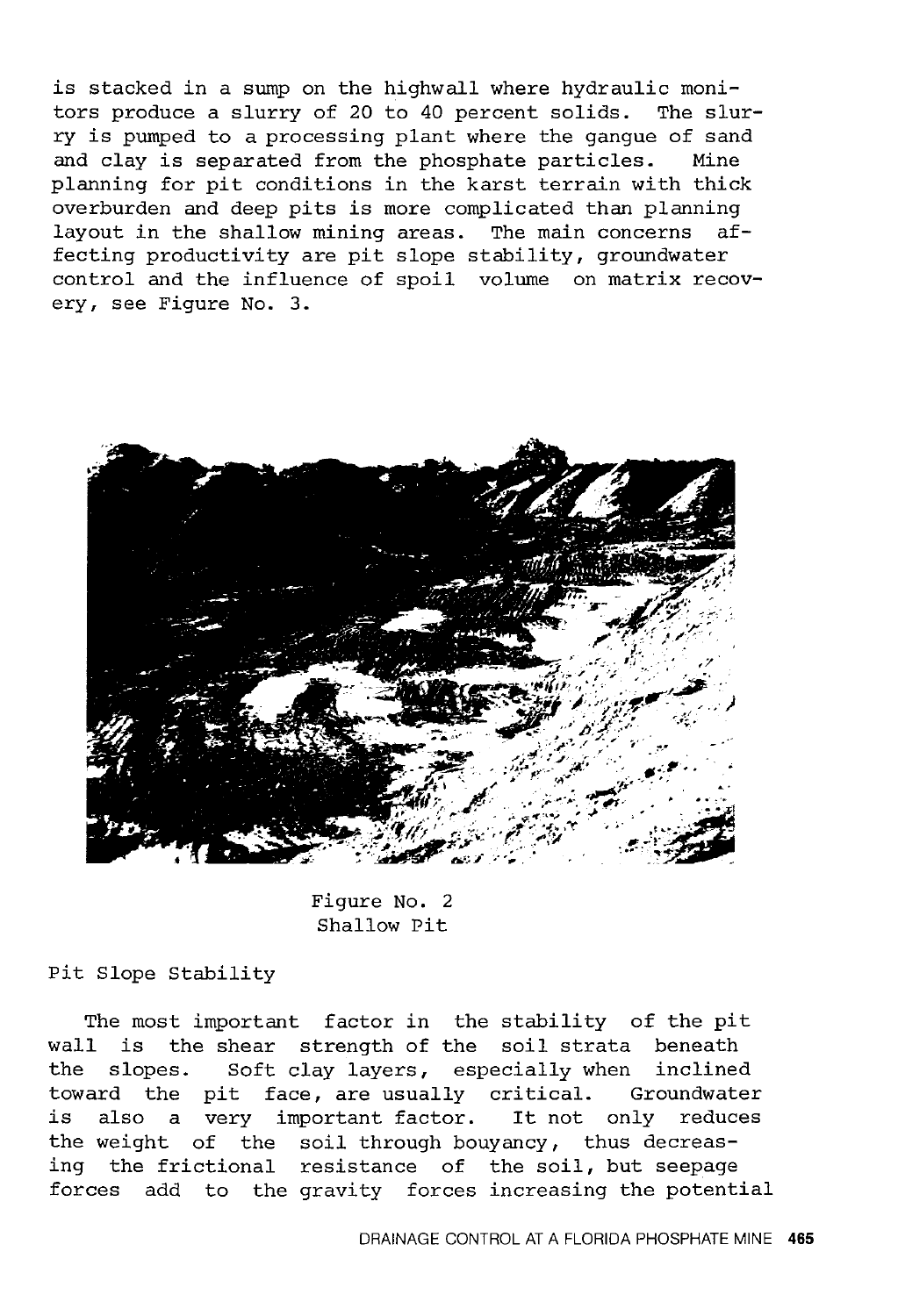is stacked in a sump on the highwall where hydraulic monitors produce a slurry of 20 to 40 percent solids. The slurry is pumped to a processing plant where the gangue of sand and clay is separated from the phosphate particles. Mine planning for pit conditions in the karst terrain with thick overburden and deep pits is more complicated than planning<br>lavout in the shallow mining areas. The main concerns aflayout in the shallow mining areas. The main concerns fecting productivity are pit slope stability, groundwater control and the influence of spoil volume on matrix recovery, see Figure No. 3.



Figure No. 2 Shallow Pit

Pit Slope Stability

The most important factor in the stability of the pit wall is the shear strength of the soil strata beneath the slopes. Soft clay layers, especially when inclined toward the pit face, are usually critical. Groundwater is also a very important factor. It not only reduces the weight of the soil through bouyancy, thus decreas-<br>ing the frictional resistance of the soil, but seepage the frictional resistance of the soil, but seepage forces add to the gravity forces increasing the potential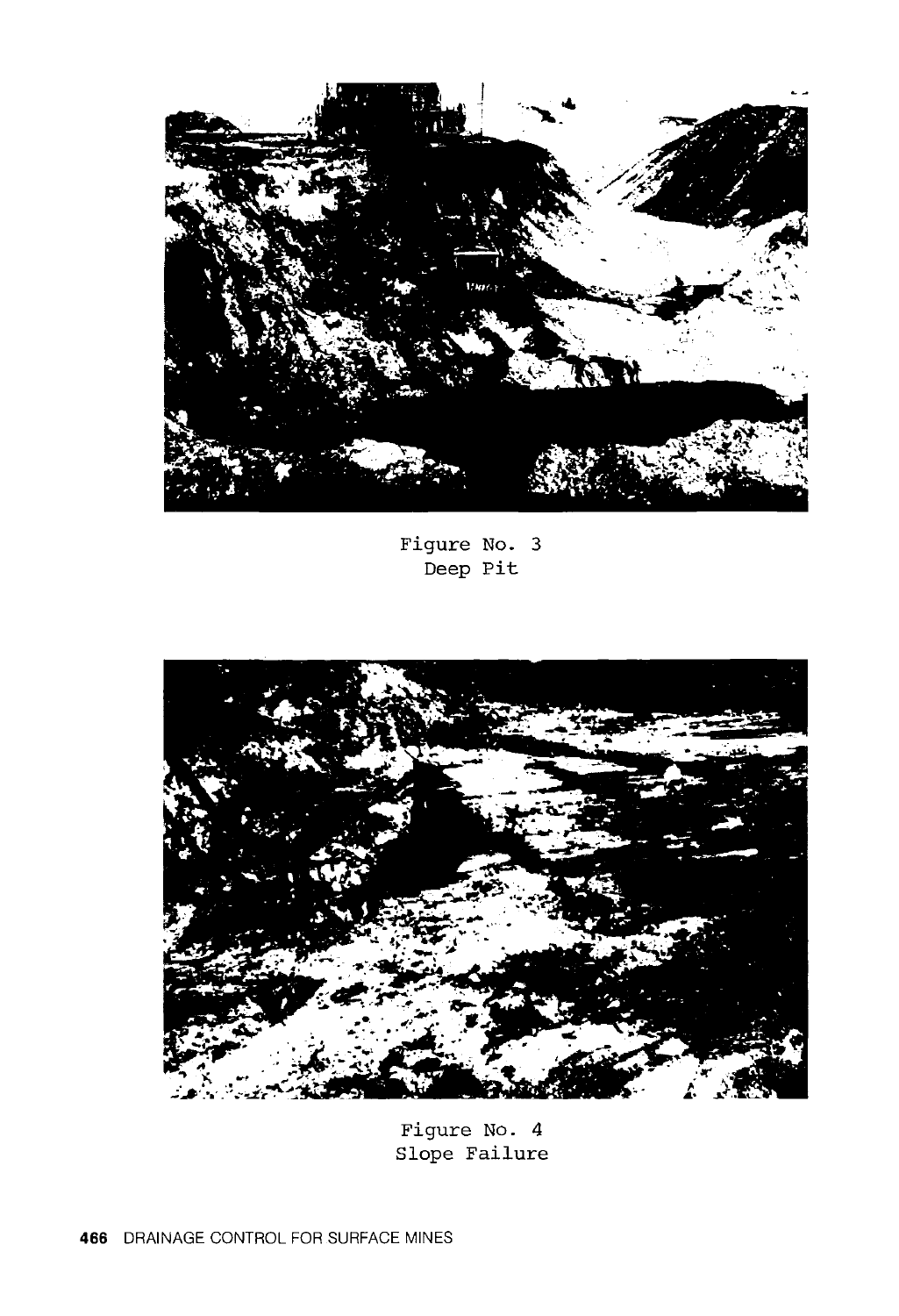

Figure No. 3 Deep Pit



Figure No. 4 Slope Failure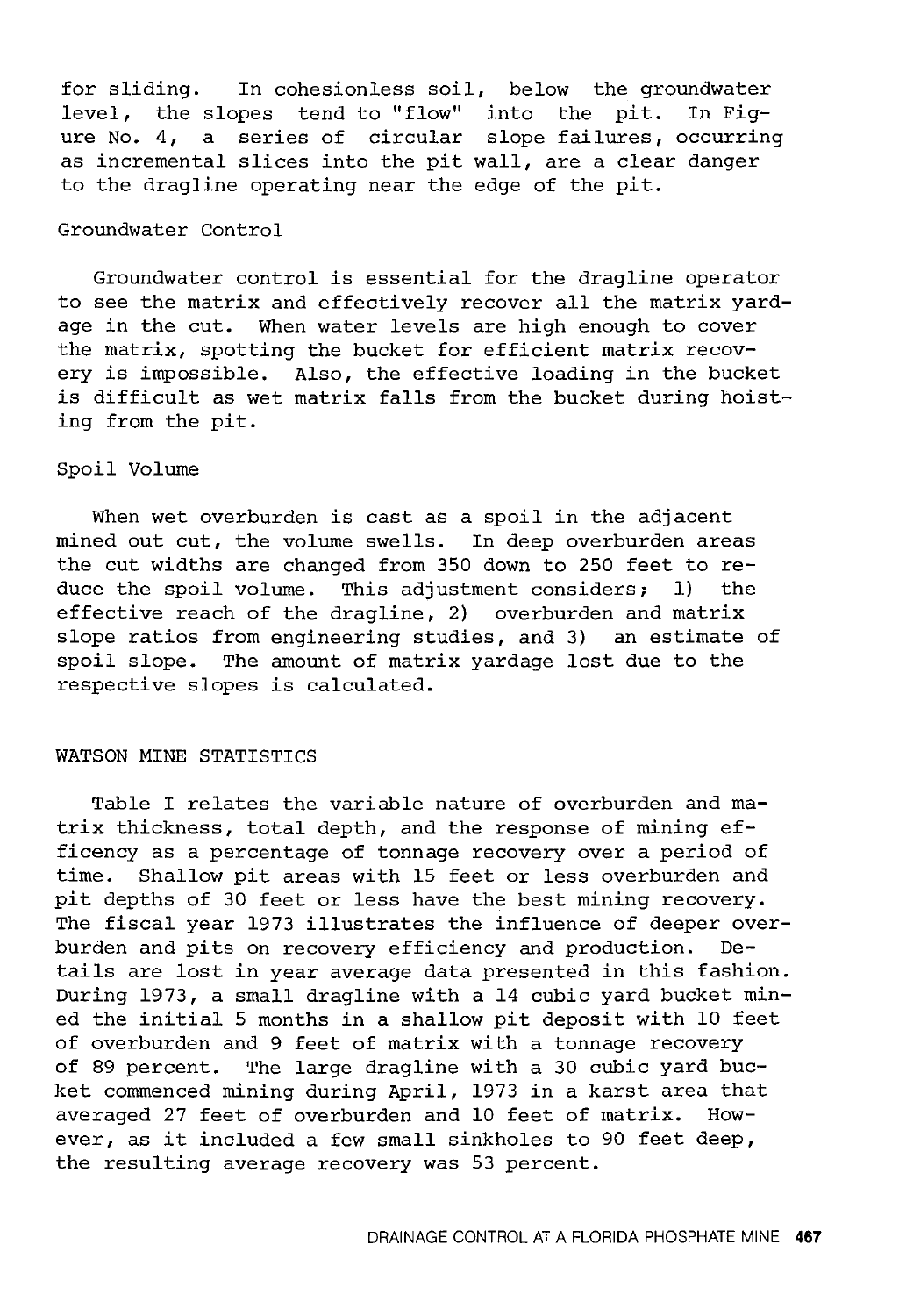for sliding. In cohesionless soil, below the groundwater level, the slopes tend to "flow" into the pit. In Figure No. 4, a series of circular slope failures, occurring as incremental slices into the pit wall, are a clear danger to the dragline operating near the edge of the pit.

## Groundwater Control

Groundwater control is essential for the dragline operator to see the matrix and effectively recover all the matrix yardage in the cut. When water levels are high enough to cover the matrix, spotting the bucket for efficient matrix recovery is impossible. Also, the effective loading in the bucket is difficult as wet matrix falls from the bucket during hoisting from the pit.

## Spoil Volume

When wet overburden is cast as a spoil in the adjacent mined out cut, the volume swells. In deep overburden areas the cut widths are changed from 350 down to 250 feet to reduce the spoil volume. This adjustment considers; 1) the effective reach of the dragline, 2) overburden and matrix slope ratios from engineering studies, and 3) an estimate of spoil slope. The amount of matrix yardage lost due to the respective slopes is calculated.

## WATSON MINE STATISTICS

Table I relates the variable nature of overburden and matrix thickness, total depth, and the response of mining efficency as a percentage of tonnage recovery over a period of time. Shallow pit areas with 15 feet or less overburden and pit depths of 30 feet or less have the best mining recovery. The fiscal year 1973 illustrates the influence of deeper overburden and pits on recovery efficiency and production. Details are lost in year average data presented in this fashion. During 1973, a small dragline with a 14 cubic yard bucket mined the initial 5 months in a shallow pit deposit with 10 feet of overburden and 9 feet of matrix with a tonnage recovery of 89 percent. The large dragline with a 30 cubic yard bucket commenced mining during April, 1973 in a karst area that averaged 27 feet of overburden and 10 feet of matrix. However, as it included a few small sinkholes to 90 feet deep, the resulting average recovery was 53 percent.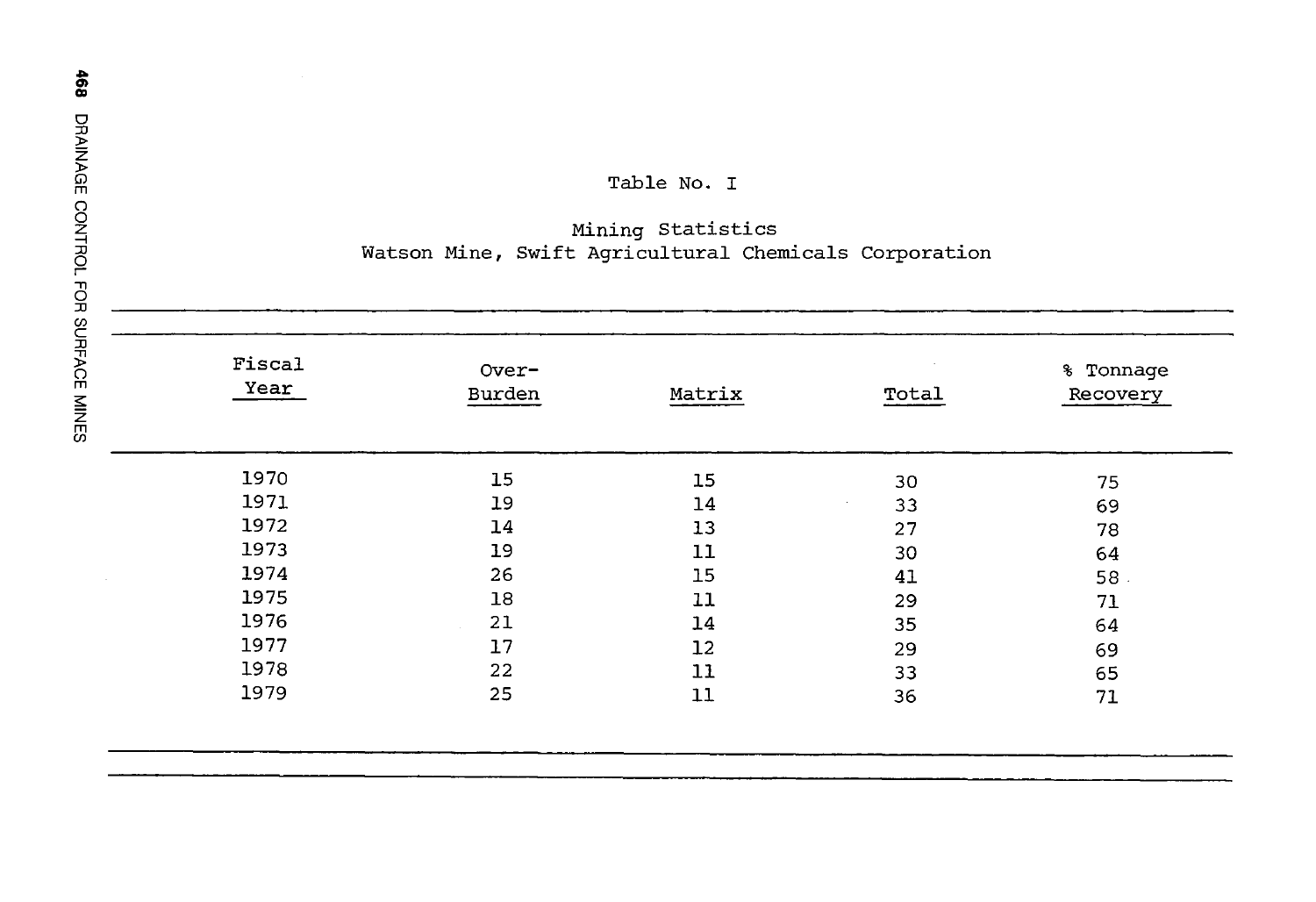## Table No. I

## Mining Statistics Watson Mine, Swift Agricultural Chemicals Corporation

| Fiscal<br>Year | Over-<br>Burden | Matrix | Total | % Tonnage<br>Recovery |
|----------------|-----------------|--------|-------|-----------------------|
| 1970           | 15              | 15     | 30    | 75                    |
| 1971           | 19              | 14     | 33    | 69                    |
| 1972           | 14              | 13     | 27    | 78                    |
| 1973           | 19              | 11     | 30    | 64                    |
| 1974           | 26              | 15     | 41    | 58.                   |
| 1975           | 18              | 11     | 29    | 71                    |
| 1976           | 21              | 14     | 35    | 64                    |
| 1977           | 17              | 12     | 29    | 69                    |
| 1978           | 22              | 11     | 33    | 65                    |
| 1979           | 25              | 11     | 36    | 71                    |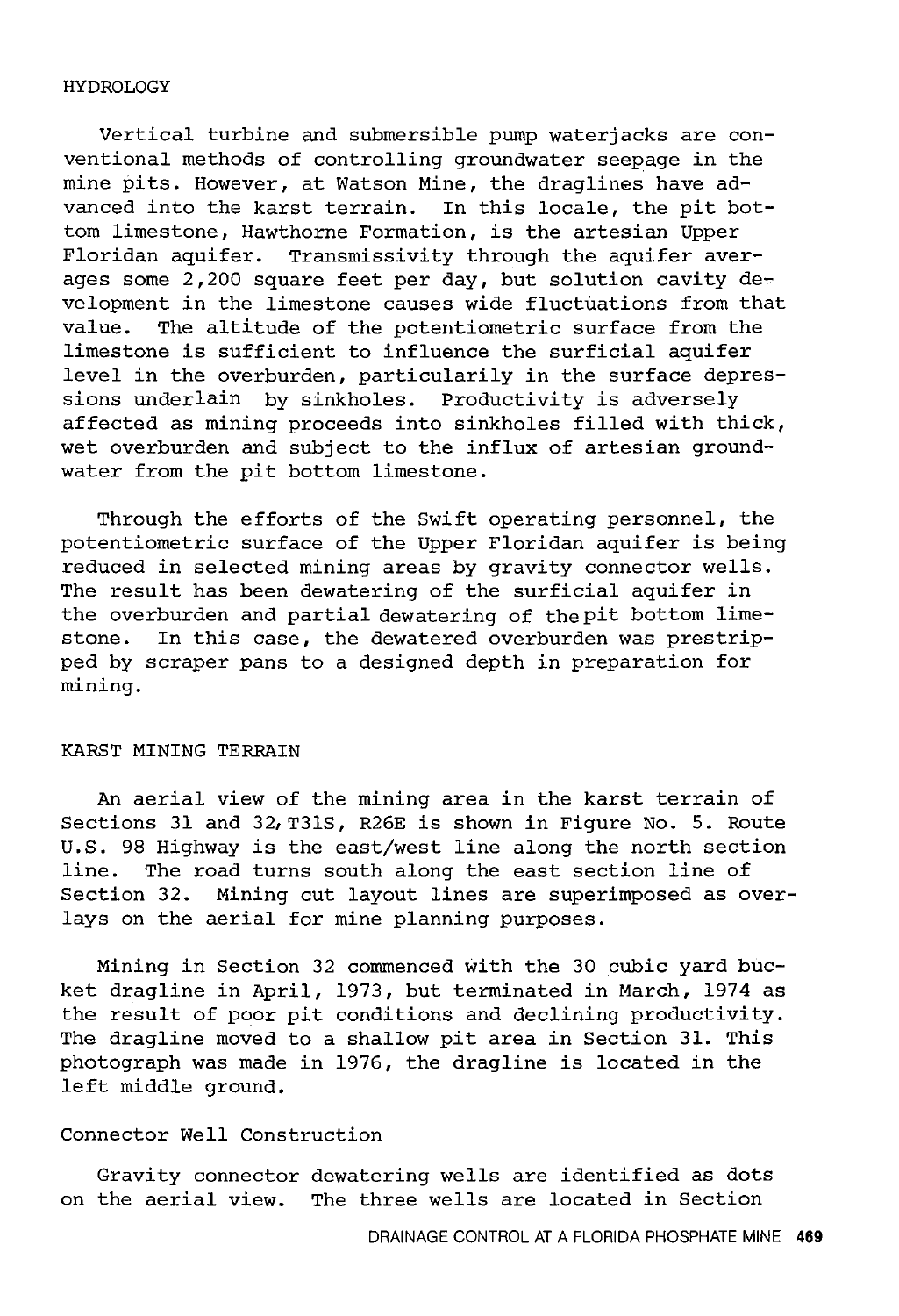#### HYDROLOGY

Vertical turbine and submersible pump waterjacks are conventional methods of controlling groundwater seepage in the mine pits. However, at Watson Mine, the draglines have advanced into the karst terrain. In this locale, the pit bottom limestone, Hawthorne Formation, is the artesian Upper Floridan aquifer. Transmissivity through the aquifer averages some 2,200 square feet per day, but solution cavity development in the limestone causes wide fluctuations from that value. The altitude of the potentiometric surface from the limestone is sufficient to influence the surficial aquifer level in the overburden, particularily in the surface depressions underlain by sinkholes. Productivity is adversely affected as mining proceeds into sinkholes filled with thick, wet overburden and subject to the influx of artesian groundwater from the pit bottom limestone.

Through the efforts of the Swift operating personnel, the potentiometric surface of the Upper Floridan aquifer is being reduced in selected mining areas by gravity connector wells. The result has been dewatering of the surficial aquifer in the overburden and partial dewatering of thepit bottom limestone. In this case, the dewatered overburden was prestripped by scraper pans to a designed depth in preparation for mining.

#### KARST MINING TERRAIN

An aerial view of the mining area in the karst terrain of Sections 31 and 32,T31S, R26E is shown in Figure No. 5. Route U.S. 98 Highway is the east/west line along the north section<br>line. The road turns south along the east section line of The road turns south along the east section line of Section 32. Mining cut layout lines are superimposed as overlays on the aerial for mine planning purposes.

Mining in Section 32 commenced with the 30 cubic yard bucket dragline in April, 1973, but terminated in March, 1974 as the result of poor pit conditions and declining productivity. The dragline moved to a shallow pit area in Section 31. This photograph was made in 1976, the dragline is located in the left middle ground.

## Connector Well Construction

Gravity connector dewatering wells are identified as dots on the aerial view. The three wells are located in Section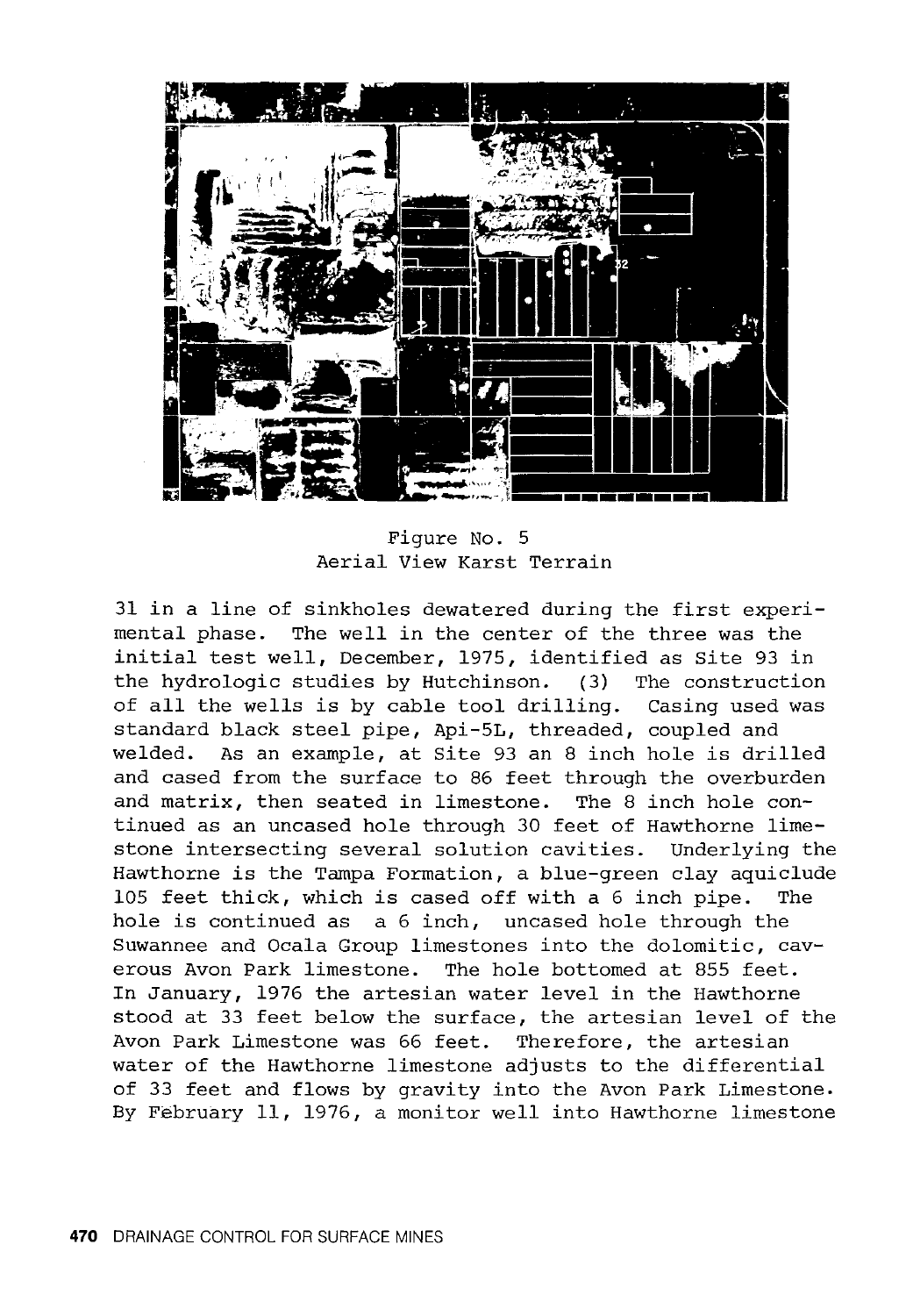

Figure No. 5 Aerial View Karst Terrain

31 in a line of sinkholes dewatered during the first experimental phase. The well in the center of the three was the initial test well, December, 1975, identified as Site 93 in the hydrologic studies by Hutchinson. (3) The construction of all the wells is by cable tool drilling. Casing used was standard black steel pipe, Api-5L, threaded, coupled and welded. As an example, at Site 93 an 8 inch hole is drilled and cased from the surface to 86 feet through the overburden and matrix, then seated in limestone. The 8 inch hole continued as an uncased hole through 30 feet of Hawthorne limestone intersecting several solution cavities. Underlying the Hawthorne is the Tampa Formation, a blue-green clay aquiclude 105 feet thick, which is cased off with a 6 inch pipe. The hole is continued as a 6 inch, uncased hole through the Suwannee and Ocala Group limestones into the dolomitic, caverous Avon Park limestone. The hole bottomed at 855 feet. In January, 1976 the artesian water level in the Hawthorne stood at 33 feet below the surface, the artesian level of the Avon Park Limestone was 66 feet. Therefore, the artesian water of the Hawthorne limestone adjusts to the differential of 33 feet and flows by gravity into the Avon Park Limestone. By February 11, 1976, a monitor well into Hawthorne limestone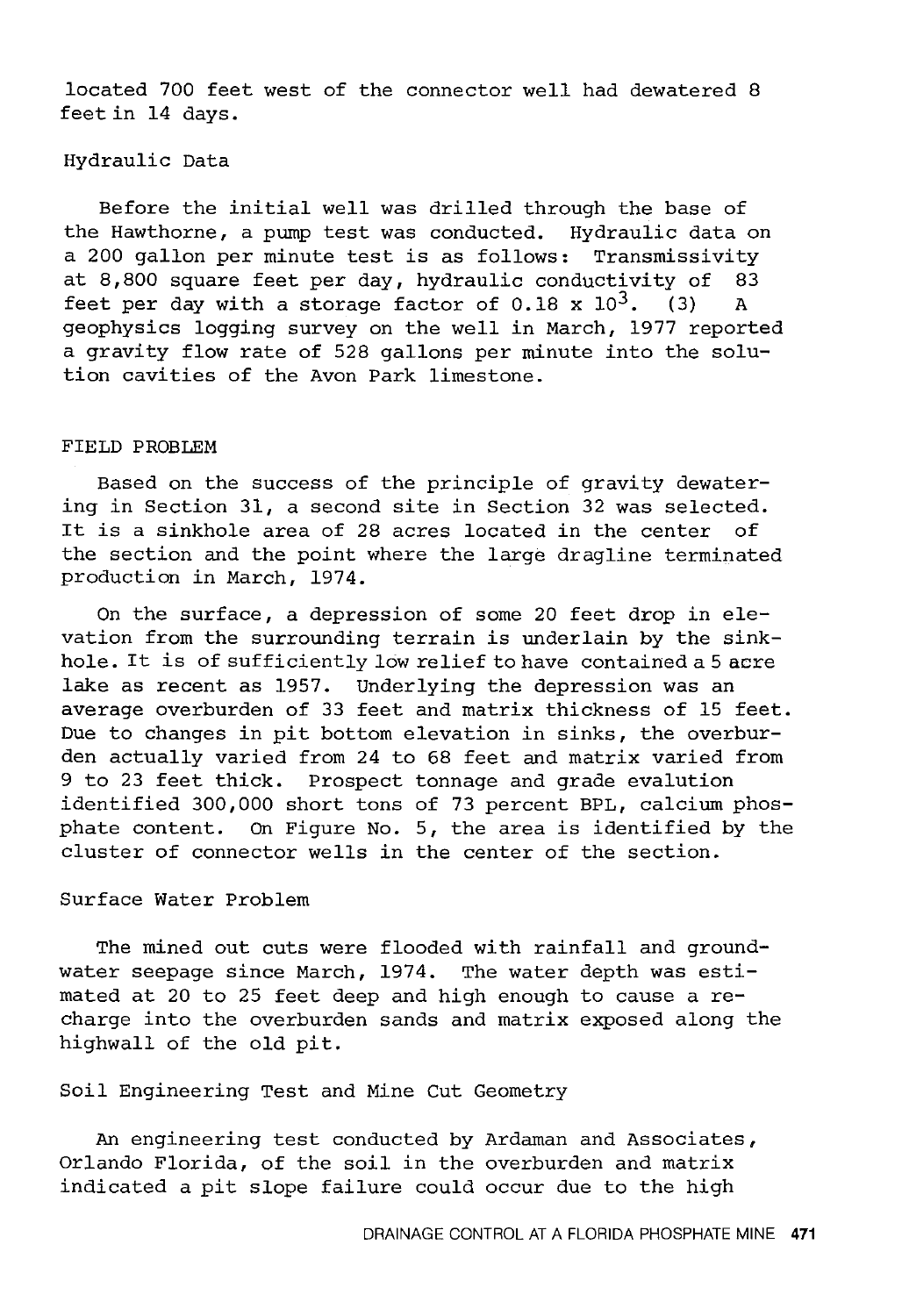located 700 feet west of the connector well had dewatered 8 feet in 14 days.

## Hydraulic Data

Before the initial well was drilled through the base of the Hawthorne, a pump test was conducted. Hydraulic data on a 200 gallon per minute test is as follows: Transmissivity at 8,800 square feet per day, hydraulic conductivity of 83 feet per day with a storage factor of  $0.18 \times 10^3$ . (3) A geophysics logging survey on the well in March, 1977 reported a gravity flow rate of 528 gallons per minute into the solution cavities of the Avon Park limestone.

## FIELD PROBLEM

Based on the success of the principle of gravity dewatering in Section 31, a second site in Section 32 was selected. It is a sinkhole area of 28 acres located in the center of the section and the point where the large dragline terminated production in March, 1974.

On the surface, a depression of some 20 feet drop in elevation from the surrounding terrain is underlain by the sinkhole. It is of sufficiently low relief to have contained a 5 acre lake as recent as 1957. Underlying the depression was an average overburden of 33 feet and matrix thickness of 15 feet. Due to changes in pit bottom elevation in sinks, the overburden actually varied from 24 to 68 feet and matrix varied from 9 to 23 feet thick. Prospect tonnage and grade evalution identified 300,000 short tons of 73 percent BPL, calcium phosphate content. On Figure No. 5, the area is identified by the cluster of connector wells in the center of the section.

## Surface Water Problem

The mined out cuts were flooded with rainfall and groundwater seepage since March, 1974. The water depth was estimated at 20 to 25 feet deep and high enough to cause a recharge into the overburden sands and matrix exposed along the highwall of the old pit.

Soil Engineering Test and Mine Cut Geometry

An engineering test conducted by Ardaman and Associates, Orlando Florida, of the soil in the overburden and matrix indicated a pit slope failure could occur due to the high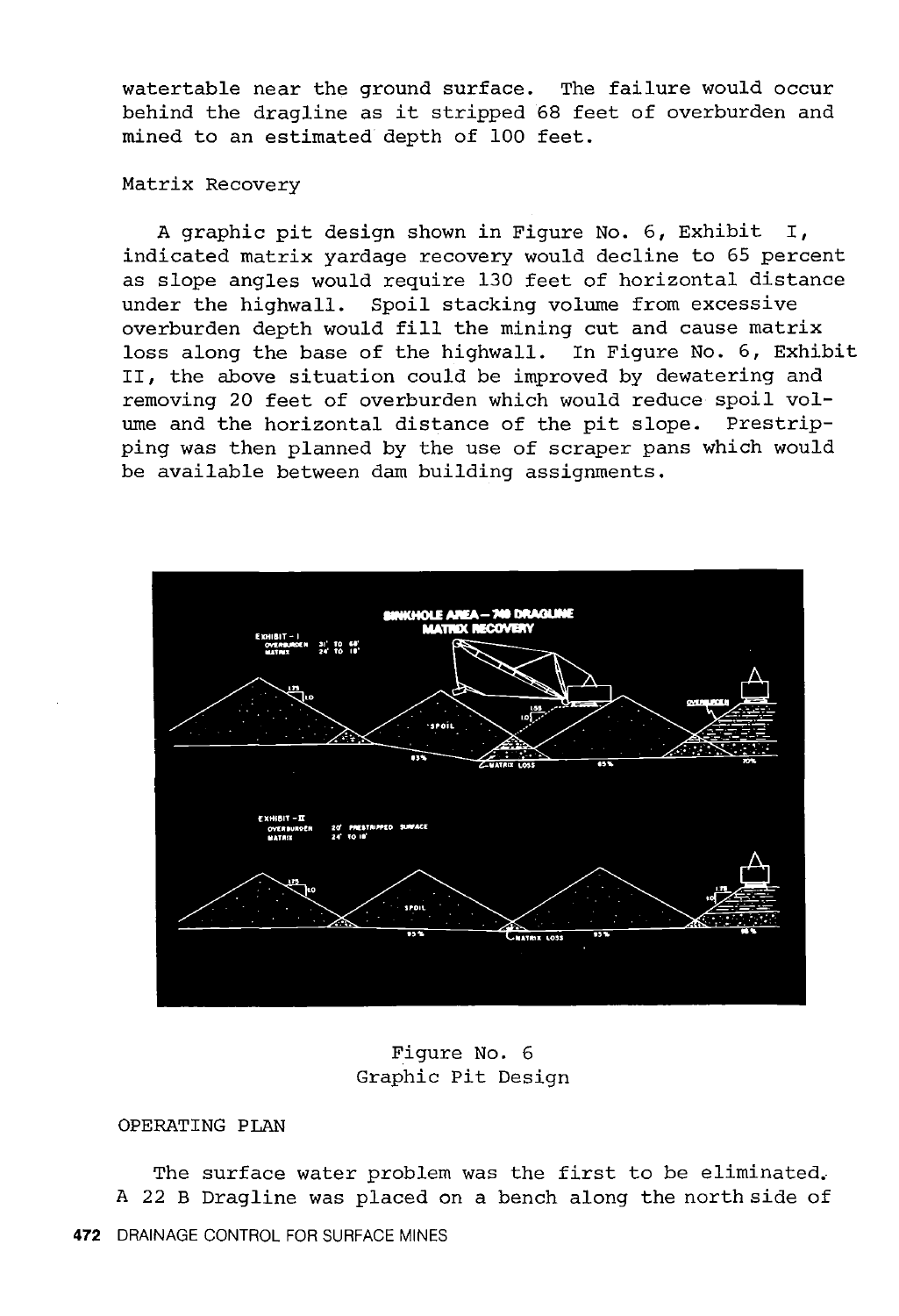watertable near the ground surface. The failure would occur behind the dragline as it stripped 68 feet of overburden and mined to an estimated depth of 100 feet.

## Matrix Recovery

A graphic pit design shown in Figure No. 6, Exhibit I, indicated matrix yardage recovery would decline to 65 percent as slope angles would require 130 feet of horizontal distance under the highwall. Spoil stacking volume from excessive overburden depth would fill the mining cut and cause matrix loss along the base of the highwall. In Figure No. 6, Exhibit II, the above situation could be improved by dewatering and removing 20 feet of overburden which would reduce spoil volume and the horizontal distance of the pit slope. Prestripping was then planned by the use of scraper pans which would be available between dam building assignments.



Figure No. 6 Graphic Pit Design

## OPERATING PLAN

The surface water problem was the first to be eliminated. A 22 B Dragline was placed on a bench along the north side of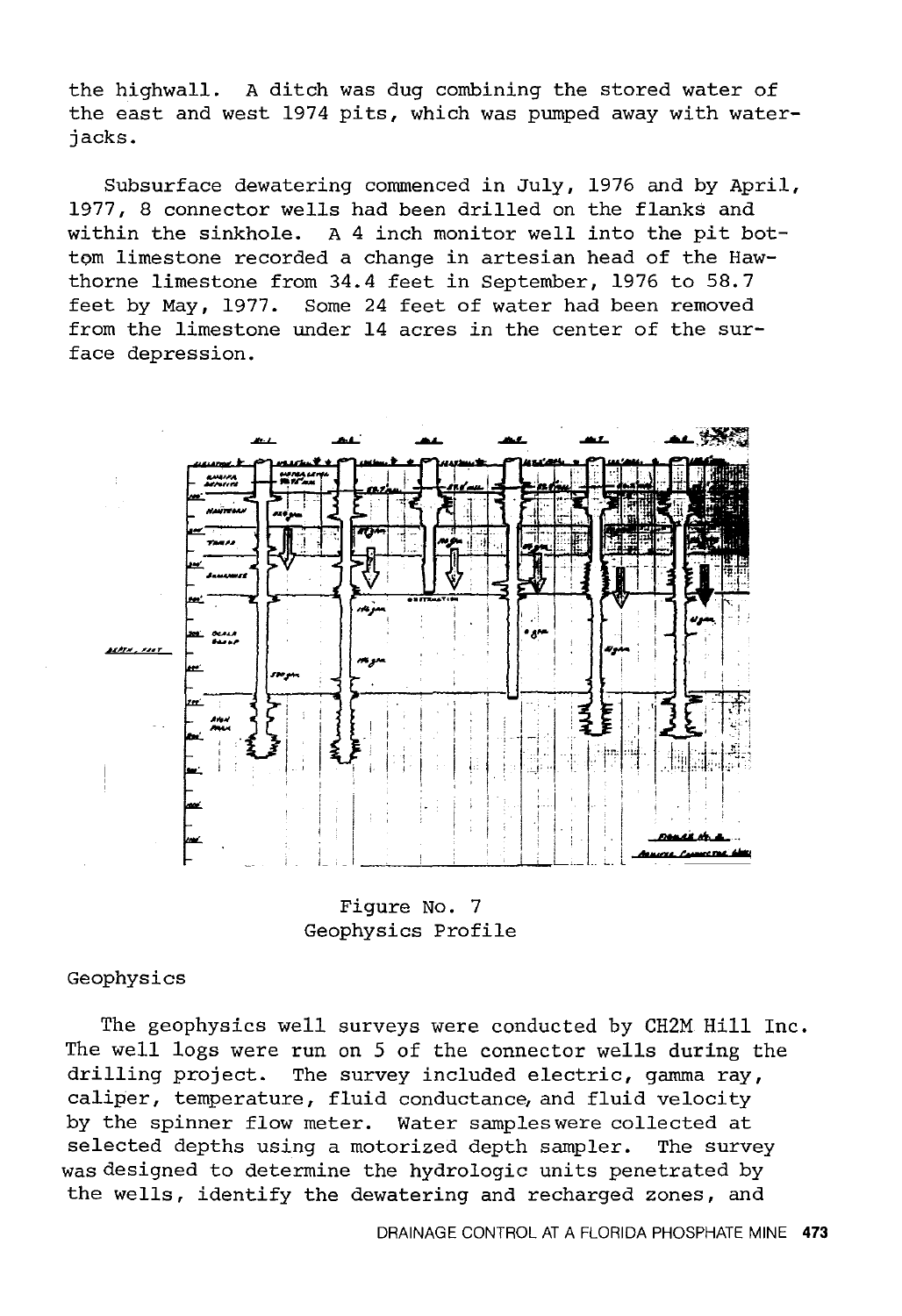the highwall. A ditch was dug combining the stored water of the east and west 1974 pits, which was pumped away with waterjacks.

Subsurface dewatering commenced *in* July, 1976 and by April, 1977, 8 connector wells had been drilled on the flanks and within the sinkhole. A 4 inch monitor well into the pit bottom limestone recorded a change *in* artesian head of the Hawthorne limestone from 34.4 feet *in* September, 1976 to 58.7 feet by May, 1977. Some 24 feet of water had been removed from the limestone under 14 acres *in* the center of the surface depression.



Figure No. 7 Geophysics Profile

## Geophysics

The geophysics well surveys were conducted by CH2M Hill Inc. The well logs were run on 5 of the connector wells during the drilling project. The survey included electric, gamma ray, caliper, temperature, fluid conductance, and fluid velocity by the spinner flow meter. Water samples were collected at selected depths using a motorized depth sampler. The survey was designed to determine the hydrologic units penetrated by the wells, identify the dewatering and recharged zones, and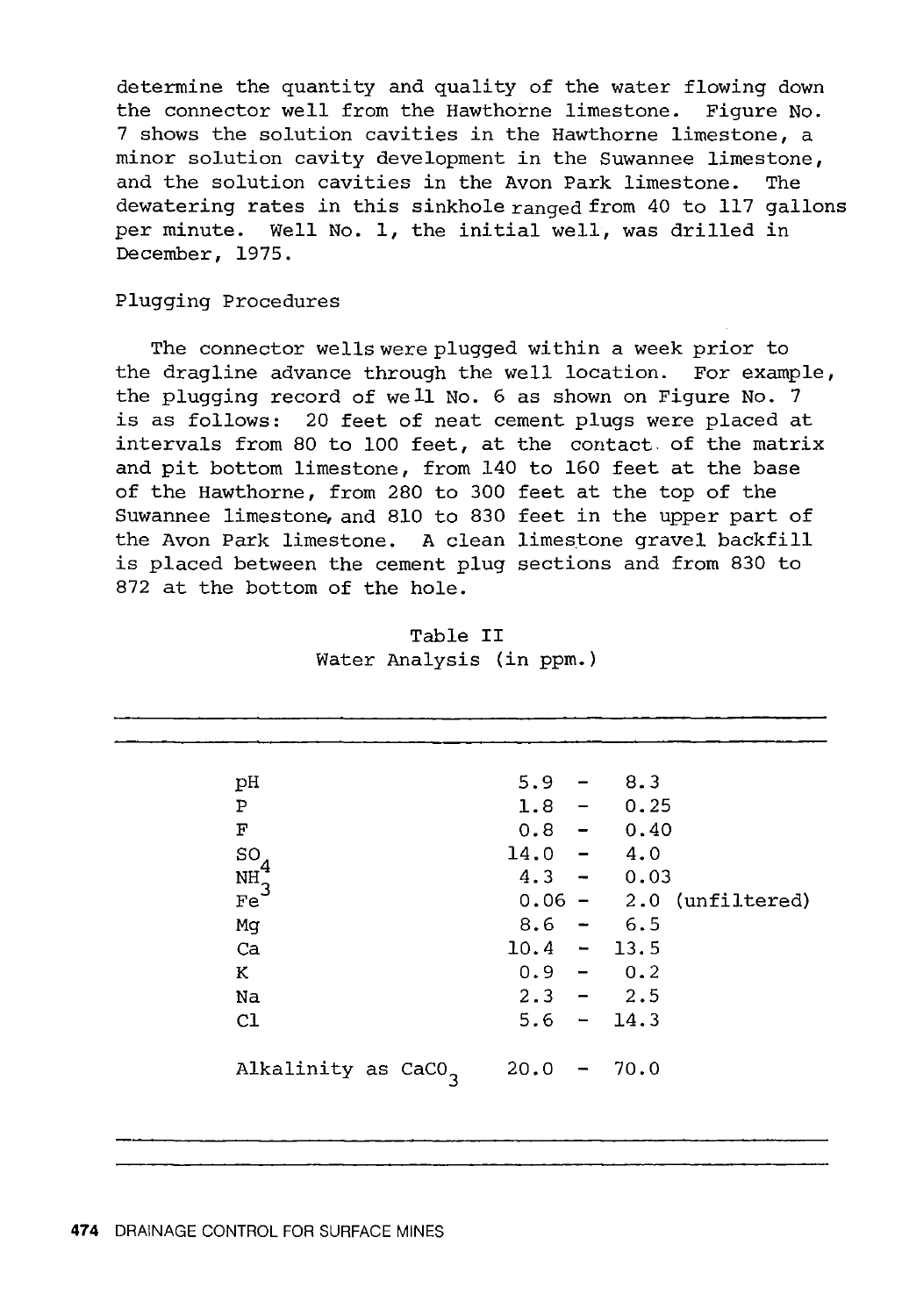determine the quantity and quality of the water flowing down the connector well from the Hawthorne limestone. Figure No. 7 shows the solution cavities in the Hawthorne limestone, a minor solution cavity development in the Suwannee limestone, and the solution cavities in the Avon Park limestone. dewatering rates in this sinkhole ranged from 40 to 117 gallons per minute. Well No. 1, the initial well, was drilled in December, 1975.

#### Plugging Procedures

The connector wells were plugged within a week prior to the dragline advance through the well location. For example, the plugging record of well No. 6 as shown on Figure No. 7 is as follows: 20 feet of neat cement plugs were placed at intervals from 80 to 100 feet, at the contact of the matrix and pit bottom limestone, from 140 to 160 feet at the base of the Hawthorne, from 280 to 300 feet at the top of the Suwannee limestone, and 810 to 830 feet in the upper part of the Avon Park limestone. A clean limestone gravel backfill is placed between the cement plug sections and from 830 to 872 at the bottom of the hole.

| 5.9                              | $-8.3$                    |
|----------------------------------|---------------------------|
|                                  | $1.8 - 0.25$              |
|                                  | $0.8 - 0.40$              |
| $14.0 - 4.0$                     |                           |
| $4.3 - 0.03$                     |                           |
|                                  | $0.06 - 2.0$ (unfiltered) |
| $8.6 - 6.5$                      |                           |
| $10.4 - 13.5$                    |                           |
| $0.9 - 0.2$                      |                           |
| $2.3 - 2.5$                      |                           |
| $5.6 - 14.3$                     |                           |
|                                  |                           |
| 20.0<br>$\overline{\phantom{m}}$ | 70.0                      |
|                                  |                           |
|                                  |                           |

| Table II                 |  |
|--------------------------|--|
| Water Analysis (in ppm.) |  |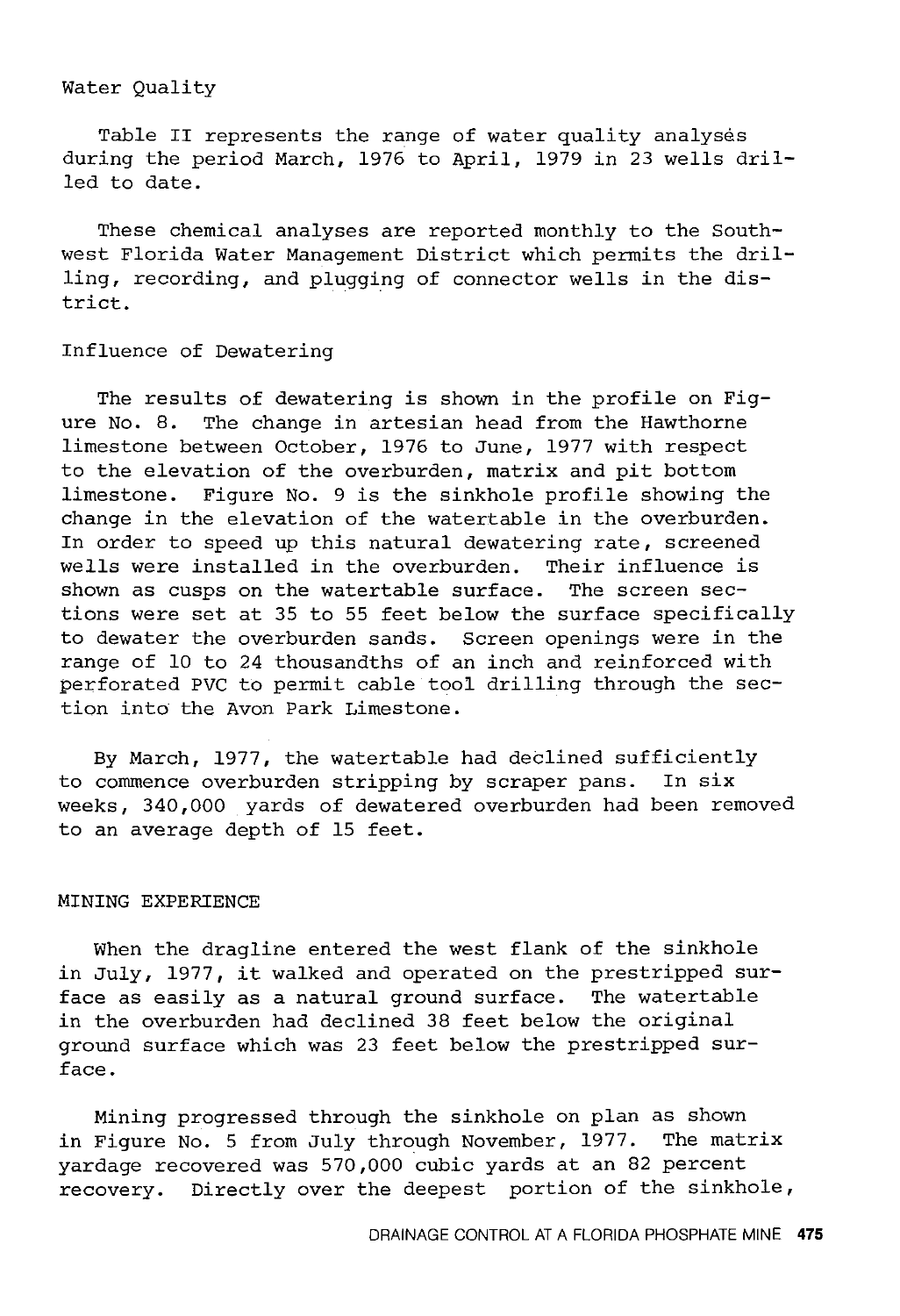## Water Quality

Table II represents the range of water quality analyses during the period March, 1976 to April, 1979 in 23 wells drilled to date.

These chemical analyses are reported monthly to the Southwest Florida Water Management District which permits the drilling, recording, and plugging of connector wells in the district.

#### Influence of Dewatering

The results of dewatering is shown in the profile on Figure No. 8. The change in artesian head from the Hawthorne limestone between October, 1976 to June, 1977 with respect to the elevation of the overburden, matrix and pit bottom limestone. Figure No. 9 is the sinkhole profile showing the change in the elevation of the watertable in the overburden. In order to speed up this natural dewatering rate, screened wells were installed in the overburden. Their influence is shown as cusps on the watertable surface. The screen sections were set at 35 to 55 feet below the surface specifically to dewater the overburden sands. Screen openings were in the range of 10 to 24 thousandths of an inch and reinforced with perforated PVC to permit cable tool drilling through the section into the Avon Park Limestone.

By March, 1977, the watertable had declined sufficiently to commence overburden stripping by scraper pans. In six weeks, 340,000 yards of dewatered overburden had been removed to an average depth of 15 feet.

## MINING EXPERIENCE

When the dragline entered the west flank of the sinkhole in July, 1977, it walked and operated on the prestripped surface as easily as a natural ground surface. The watertable in the overburden had declined 38 feet below the original ground surface which was 23 feet below the prestripped surface.

Mining progressed through the sinkhole on plan as shown in Figure No. 5 from July through November, 1977. The matrix yardage recovered was 570,000 cubic yards at an 82 percent recovery. Directly over the deepest portion of the sinkhole,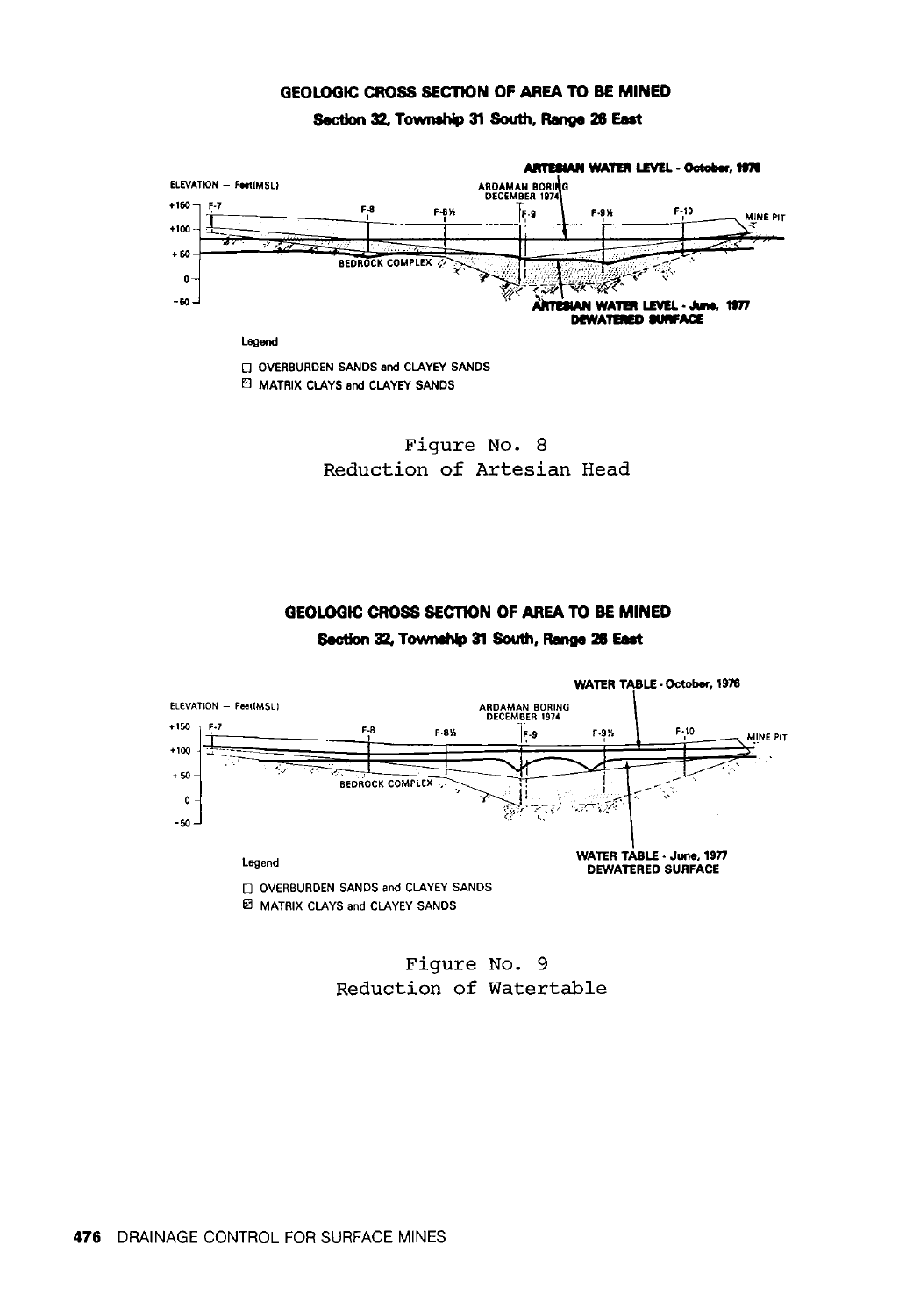#### GEOLOGIC CROSS SECTION OF AREA TO BE MINED

Section 32. Township 31 South, Range 26 Eat



**El MATRIX CLAYS and CLAYEY SANDS** 



## GEOLOGIC CROSS SECTION OF AREA TO BE MINED Section 32. Township 31 South, Range 26 Eat



Figure No. 9 Reduction of Watertable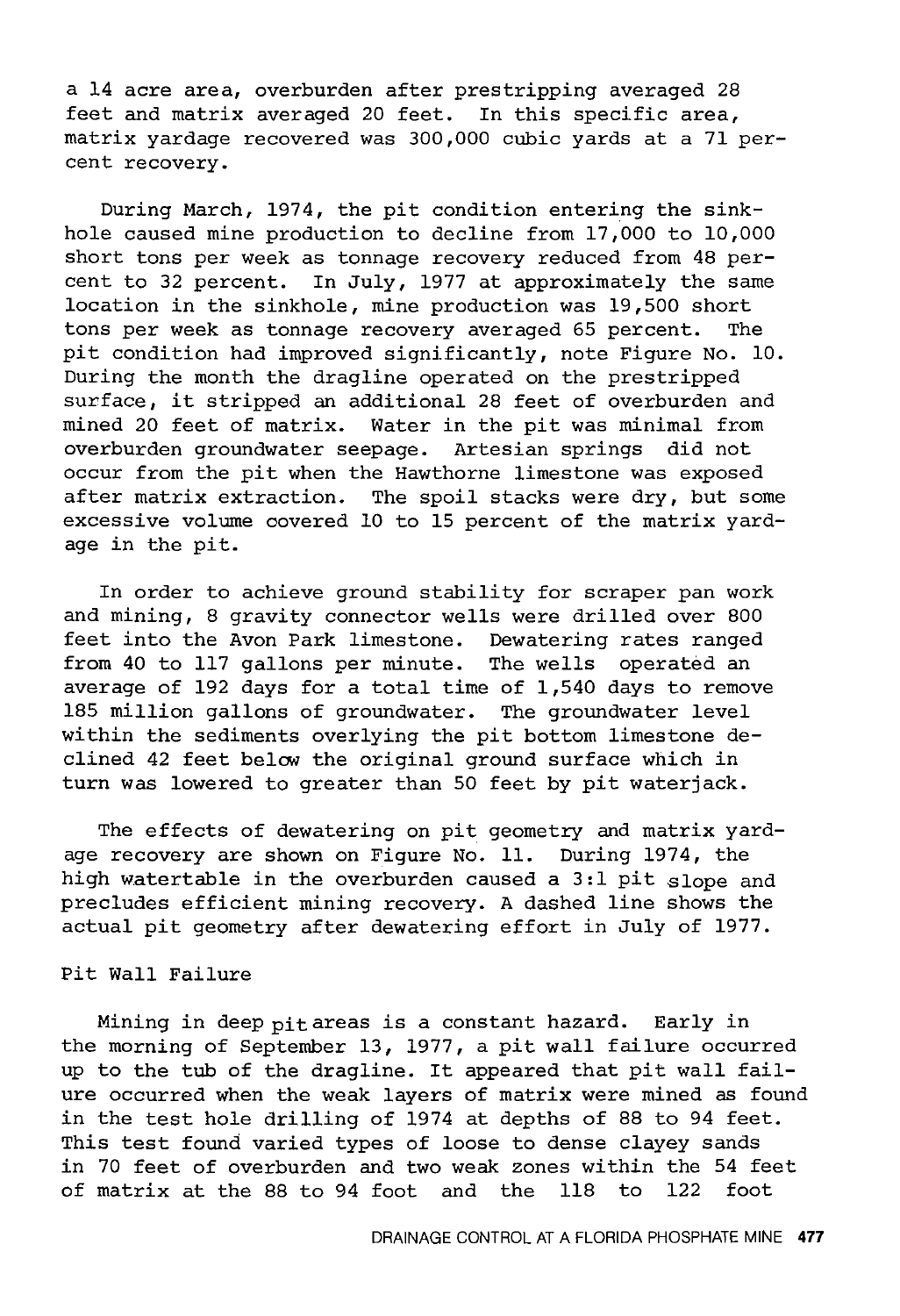a 14 acre area, overburden after prestripping averaged 28 feet and matrix averaged 20 feet. In this specific area, matrix yardage recovered was 300,000 cubic yards at a 71 percent recovery.

During March, 1974, the pit condition entering the sinkhole caused mine production to decline from 17,000 to 10,000 short tons per week as tonnage recovery reduced from 48 percent to 32 percent. In July, 1977 at approximately the same location in the sinkhole, mine production was 19,500 short tons per week as tonnage recovery averaged 65 percent. The pit condition had improved significantly, note Figure No. 10. During the month the dragline operated on the prestripped surface, it stripped an additional 28 feet of overburden and mined 20 feet of matrix. Water in the pit was minimal from overburden groundwater seepage. Artesian springs did not occur from the pit when the Hawthorne limestone was exposed after matrix extraction. The spoil stacks were dry, but some excessive volume covered 10 to 15 percent of the matrix yardage in the pit.

In order to achieve ground stability for scraper pan work and mining, 8 gravity connector wells were drilled over 800 feet into the Avon Park limestone. Dewatering rates ranged from 40 to 117 gallons per minute. The wells operated an average of 192 days for a total time of 1,540 days to remove 185 million gallons of groundwater. The groundwater level within the sediments overlying the pit bottom limestone declined 42 feet below the original ground surface which in turn was lowered to greater than 50 feet by pit waterjack.

The effects of dewatering on pit geometry and matrix yardage recovery are shown on Figure No. 11. During 1974, the high watertable in the overburden caused a 3:1 pit slope and precludes efficient mining recovery. A dashed line shows the actual pit geometry after dewatering effort in July of 1977.

## Pit Wall Failure

Mining in deep pit areas is a constant hazard. Early in the morning of September 13, 1977, a pit wall failure occurred up to the tub of the dragline. It appeared that pit wall failure occurred when the weak layers of matrix were mined as found in the test hole drilling of 1974 at depths of 88 to 94 feet. This test found varied types of loose to dense clayey sands in 70 feet of overburden and two weak zones within the 54 feet of matrix at the 88 to 94 foot and the 118 to 122 foot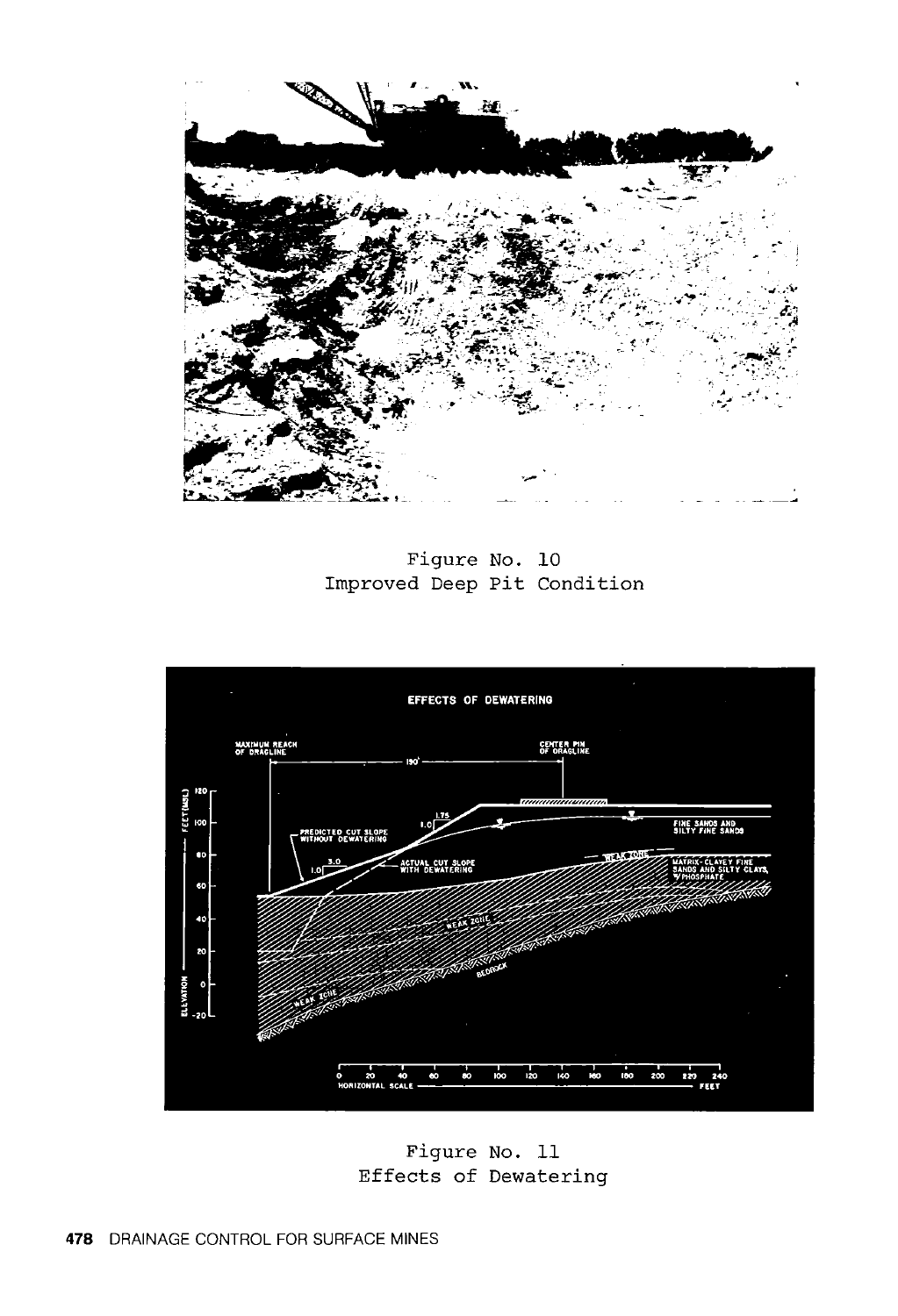

Figure No. 10 Improved Deep Pit Condition



Figure No. 11 Effects of Dewatering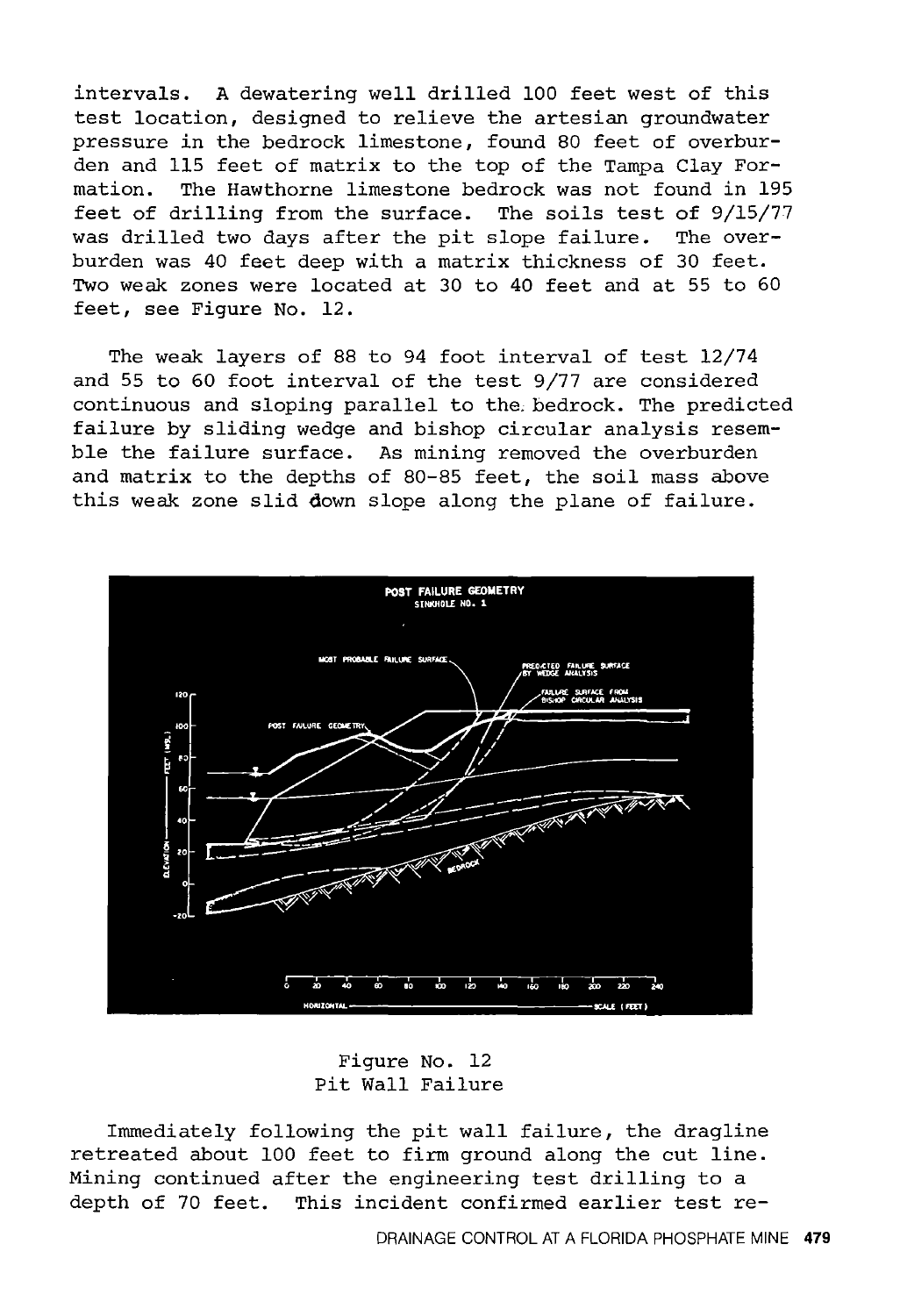intervals. A dewatering well drilled 100 feet west of this test location, designed to relieve the artesian groundwater pressure in the bedrock limestone, found 80 feet of overburden and 115 feet of matrix to the top of the Tampa Clay Formation. The Hawthorne limestone bedrock was not found *in* 195 feet of drilling from the surface. The soils test of 9/15/77 was drilled two days after the pit slope failure. The overburden was 40 feet deep with a matrix thickness of 30 feet. Two weak zones were located at 30 to 40 feet and at 55 to 60 feet, see Figure No. 12.

The weak layers of 88 to 94 foot interval of test 12/74 and 55 to 60 foot interval of the test 9/77 are considered continuous and sloping parallel to the.bedrock. The predicted failure by sliding wedge and bishop circular analysis resemble the failure surface. As mining removed the overburden and matrix to the depths of 80-85 feet, the soil mass above this weak zone slid down slope along the plane of failure.



Figure No. 12 Pit Wall Failure

Immediately following the pit wall failure, the dragline retreated about 100 feet to firm ground along the cut line. Mining continued after the engineering test drilling to a depth of 70 feet. This incident confirmed earlier test re